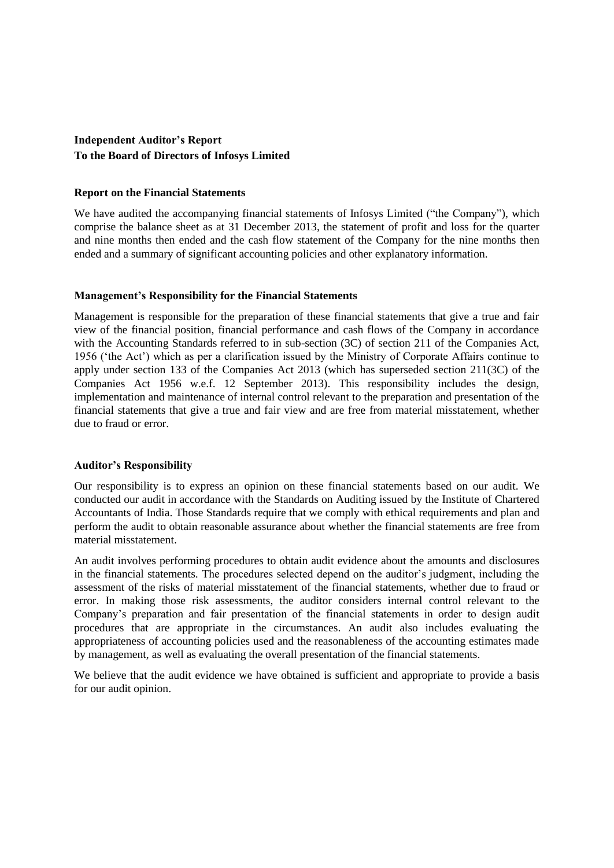# **Independent Auditor's Report To the Board of Directors of Infosys Limited**

### **Report on the Financial Statements**

We have audited the accompanying financial statements of Infosys Limited ("the Company"), which comprise the balance sheet as at 31 December 2013, the statement of profit and loss for the quarter and nine months then ended and the cash flow statement of the Company for the nine months then ended and a summary of significant accounting policies and other explanatory information.

## **Management's Responsibility for the Financial Statements**

Management is responsible for the preparation of these financial statements that give a true and fair view of the financial position, financial performance and cash flows of the Company in accordance with the Accounting Standards referred to in sub-section (3C) of section 211 of the Companies Act, 1956 ("the Act") which as per a clarification issued by the Ministry of Corporate Affairs continue to apply under section 133 of the Companies Act 2013 (which has superseded section 211(3C) of the Companies Act 1956 w.e.f. 12 September 2013). This responsibility includes the design, implementation and maintenance of internal control relevant to the preparation and presentation of the financial statements that give a true and fair view and are free from material misstatement, whether due to fraud or error.

### **Auditor's Responsibility**

Our responsibility is to express an opinion on these financial statements based on our audit. We conducted our audit in accordance with the Standards on Auditing issued by the Institute of Chartered Accountants of India. Those Standards require that we comply with ethical requirements and plan and perform the audit to obtain reasonable assurance about whether the financial statements are free from material misstatement.

An audit involves performing procedures to obtain audit evidence about the amounts and disclosures in the financial statements. The procedures selected depend on the auditor"s judgment, including the assessment of the risks of material misstatement of the financial statements, whether due to fraud or error. In making those risk assessments, the auditor considers internal control relevant to the Company"s preparation and fair presentation of the financial statements in order to design audit procedures that are appropriate in the circumstances. An audit also includes evaluating the appropriateness of accounting policies used and the reasonableness of the accounting estimates made by management, as well as evaluating the overall presentation of the financial statements.

We believe that the audit evidence we have obtained is sufficient and appropriate to provide a basis for our audit opinion.